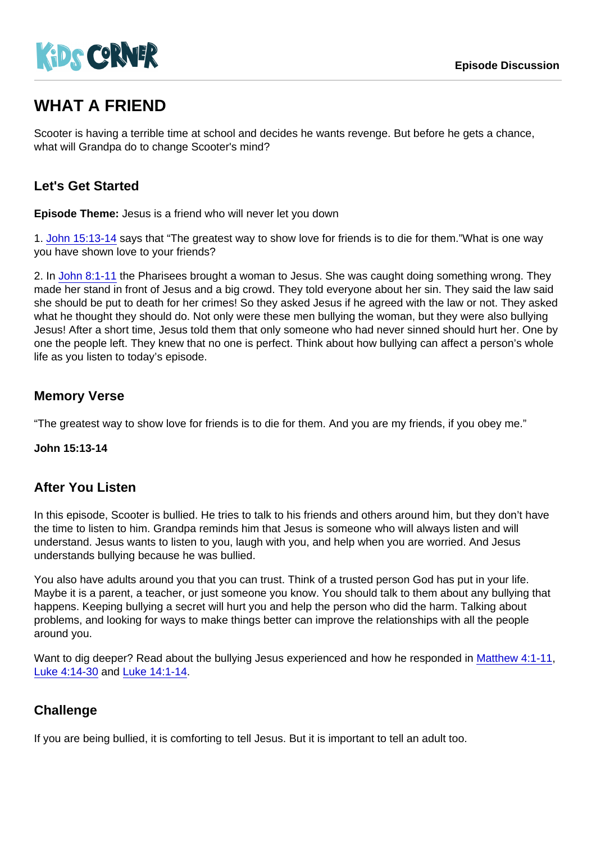# WHAT A FRIEND

Scooter is having a terrible time at school and decides he wants revenge. But before he gets a chance, what will Grandpa do to change Scooter's mind?

## Let's Get Started

Episode Theme: Jesus is a friend who will never let you down

1. [John 15:13-14](https://www.biblegateway.com/passage/?search=John+15:13-14) says that "The greatest way to show love for friends is to die for them."What is one way you have shown love to your friends?

2. In [John 8:1-11](https://www.biblegateway.com/passage/?search=John+8:1-11) the Pharisees brought a woman to Jesus. She was caught doing something wrong. They made her stand in front of Jesus and a big crowd. They told everyone about her sin. They said the law said she should be put to death for her crimes! So they asked Jesus if he agreed with the law or not. They asked what he thought they should do. Not only were these men bullying the woman, but they were also bullying Jesus! After a short time, Jesus told them that only someone who had never sinned should hurt her. One by one the people left. They knew that no one is perfect. Think about how bullying can affect a person's whole life as you listen to today's episode.

### Memory Verse

"The greatest way to show love for friends is to die for them. And you are my friends, if you obey me."

John 15:13-14

#### After You Listen

In this episode, Scooter is bullied. He tries to talk to his friends and others around him, but they don't have the time to listen to him. Grandpa reminds him that Jesus is someone who will always listen and will understand. Jesus wants to listen to you, laugh with you, and help when you are worried. And Jesus understands bullying because he was bullied.

You also have adults around you that you can trust. Think of a trusted person God has put in your life. Maybe it is a parent, a teacher, or just someone you know. You should talk to them about any bullying that happens. Keeping bullying a secret will hurt you and help the person who did the harm. Talking about problems, and looking for ways to make things better can improve the relationships with all the people around you.

Want to dig deeper? Read about the bullying Jesus experienced and how he responded in [Matthew 4:1-11,](https://www.biblegateway.com/passage/?search=Matthew+4:1-11) [Luke 4:14-30](https://www.biblegateway.com/passage/?search=Luke+4:14-30) and [Luke 14:1-14.](https://www.biblegateway.com/passage/?search=Luke+14:1-14)

## **Challenge**

If you are being bullied, it is comforting to tell Jesus. But it is important to tell an adult too.